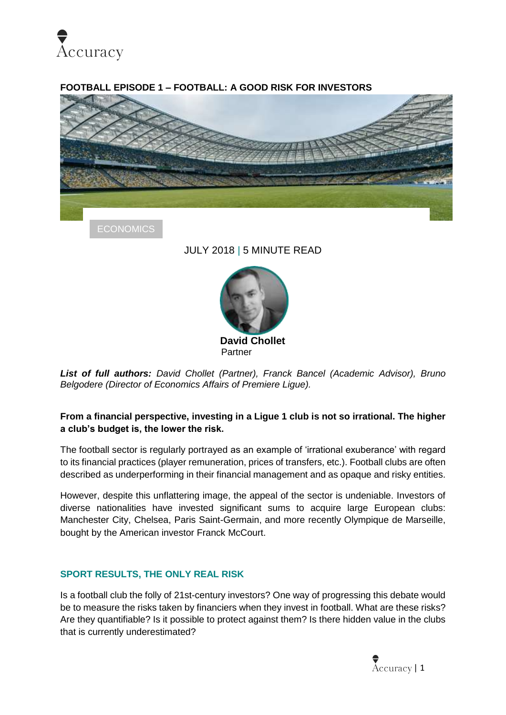

#### **FOOTBALL EPISODE 1 – FOOTBALL: A GOOD RISK FOR INVESTORS**



**ECONOMICS** 

# JULY 2018 | 5 MINUTE READ



*List of full authors: David Chollet (Partner), Franck Bancel (Academic Advisor), Bruno Belgodere (Director of Economics Affairs of Premiere Ligue).*

#### **From a financial perspective, investing in a Ligue 1 club is not so irrational. The higher a club's budget is, the lower the risk.**

The football sector is regularly portrayed as an example of 'irrational exuberance' with regard to its financial practices (player remuneration, prices of transfers, etc.). Football clubs are often described as underperforming in their financial management and as opaque and risky entities.

However, despite this unflattering image, the appeal of the sector is undeniable. Investors of diverse nationalities have invested significant sums to acquire large European clubs: Manchester City, Chelsea, Paris Saint-Germain, and more recently Olympique de Marseille, bought by the American investor Franck McCourt.

#### **SPORT RESULTS, THE ONLY REAL RISK**

Is a football club the folly of 21st-century investors? One way of progressing this debate would be to measure the risks taken by financiers when they invest in football. What are these risks? Are they quantifiable? Is it possible to protect against them? Is there hidden value in the clubs that is currently underestimated?